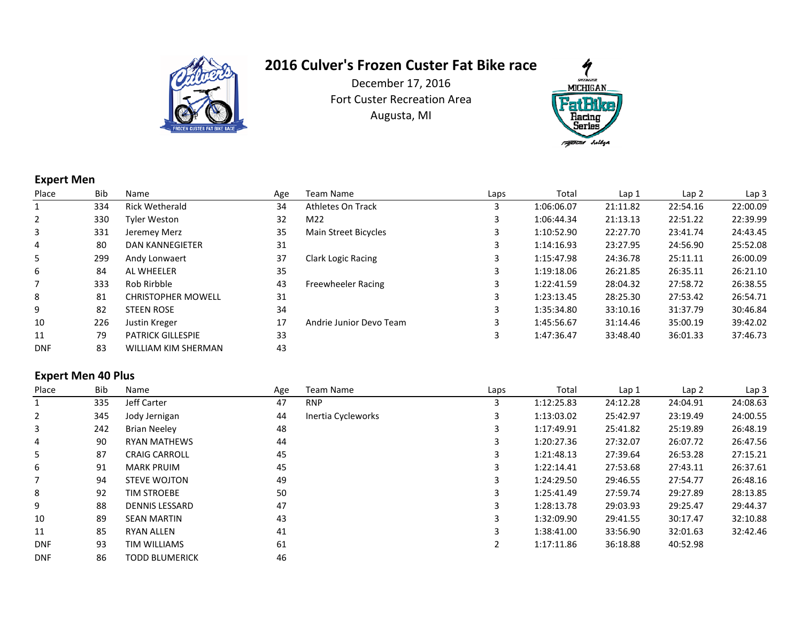

December 17, 2016 Fort Custer Recreation AreaAugusta, MI



## **Expert Men**

| Place          | <b>Bib</b> | Name                       | Age | Team Name                   | Laps | Total      | Lap <sub>1</sub> | Lap <sub>2</sub> | Lap <sub>3</sub> |
|----------------|------------|----------------------------|-----|-----------------------------|------|------------|------------------|------------------|------------------|
|                | 334        | <b>Rick Wetherald</b>      | 34  | Athletes On Track           | 3    | 1:06:06.07 | 21:11.82         | 22:54.16         | 22:00.09         |
| $\overline{2}$ | 330        | <b>Tyler Weston</b>        | 32  | M22                         | 3    | 1:06:44.34 | 21:13.13         | 22:51.22         | 22:39.99         |
| 3              | 331        | Jeremey Merz               | 35  | <b>Main Street Bicycles</b> | 3    | 1:10:52.90 | 22:27.70         | 23:41.74         | 24:43.45         |
| 4              | 80         | <b>DAN KANNEGIETER</b>     | 31  |                             | 3    | 1:14:16.93 | 23:27.95         | 24:56.90         | 25:52.08         |
| 5              | 299        | Andy Lonwaert              | 37  | <b>Clark Logic Racing</b>   | 3    | 1:15:47.98 | 24:36.78         | 25:11.11         | 26:00.09         |
| 6              | 84         | AL WHEELER                 | 35  |                             |      | 1:19:18.06 | 26:21.85         | 26:35.11         | 26:21.10         |
|                | 333        | Rob Rirbble                | 43  | Freewheeler Racing          | 3    | 1:22:41.59 | 28:04.32         | 27:58.72         | 26:38.55         |
| 8              | 81         | <b>CHRISTOPHER MOWELL</b>  | 31  |                             | 3    | 1:23:13.45 | 28:25.30         | 27:53.42         | 26:54.71         |
| 9              | 82         | <b>STEEN ROSE</b>          | 34  |                             | 3    | 1:35:34.80 | 33:10.16         | 31:37.79         | 30:46.84         |
| 10             | 226        | Justin Kreger              | 17  | Andrie Junior Devo Team     | 3    | 1:45:56.67 | 31:14.46         | 35:00.19         | 39:42.02         |
| 11             | 79         | <b>PATRICK GILLESPIE</b>   | 33  |                             | 3    | 1:47:36.47 | 33:48.40         | 36:01.33         | 37:46.73         |
| <b>DNF</b>     | 83         | <b>WILLIAM KIM SHERMAN</b> | 43  |                             |      |            |                  |                  |                  |

## **Expert Men 40 Plus**

| Place          | Bib | Name                  | Age | Team Name          | Laps | Total      | Lap <sub>1</sub> | Lap <sub>2</sub> | Lap <sub>3</sub> |
|----------------|-----|-----------------------|-----|--------------------|------|------------|------------------|------------------|------------------|
|                | 335 | Jeff Carter           | 47  | <b>RNP</b>         |      | 1:12:25.83 | 24:12.28         | 24:04.91         | 24:08.63         |
| $\overline{2}$ | 345 | Jody Jernigan         | 44  | Inertia Cycleworks |      | 1:13:03.02 | 25:42.97         | 23:19.49         | 24:00.55         |
| 3              | 242 | <b>Brian Neeley</b>   | 48  |                    |      | 1:17:49.91 | 25:41.82         | 25:19.89         | 26:48.19         |
| 4              | 90  | <b>RYAN MATHEWS</b>   | 44  |                    |      | 1:20:27.36 | 27:32.07         | 26:07.72         | 26:47.56         |
| 5              | 87  | <b>CRAIG CARROLL</b>  | 45  |                    |      | 1:21:48.13 | 27:39.64         | 26:53.28         | 27:15.21         |
| 6              | 91  | <b>MARK PRUIM</b>     | 45  |                    | 3    | 1:22:14.41 | 27:53.68         | 27:43.11         | 26:37.61         |
|                | 94  | <b>STEVE WOJTON</b>   | 49  |                    |      | 1:24:29.50 | 29:46.55         | 27:54.77         | 26:48.16         |
| 8              | 92  | <b>TIM STROEBE</b>    | 50  |                    |      | 1:25:41.49 | 27:59.74         | 29:27.89         | 28:13.85         |
| 9              | 88  | <b>DENNIS LESSARD</b> | 47  |                    |      | 1:28:13.78 | 29:03.93         | 29:25.47         | 29:44.37         |
| 10             | 89  | <b>SEAN MARTIN</b>    | 43  |                    |      | 1:32:09.90 | 29:41.55         | 30:17.47         | 32:10.88         |
| 11             | 85  | <b>RYAN ALLEN</b>     | 41  |                    |      | 1:38:41.00 | 33:56.90         | 32:01.63         | 32:42.46         |
| <b>DNF</b>     | 93  | <b>TIM WILLIAMS</b>   | 61  |                    |      | 1:17:11.86 | 36:18.88         | 40:52.98         |                  |
| <b>DNF</b>     | 86  | <b>TODD BLUMERICK</b> | 46  |                    |      |            |                  |                  |                  |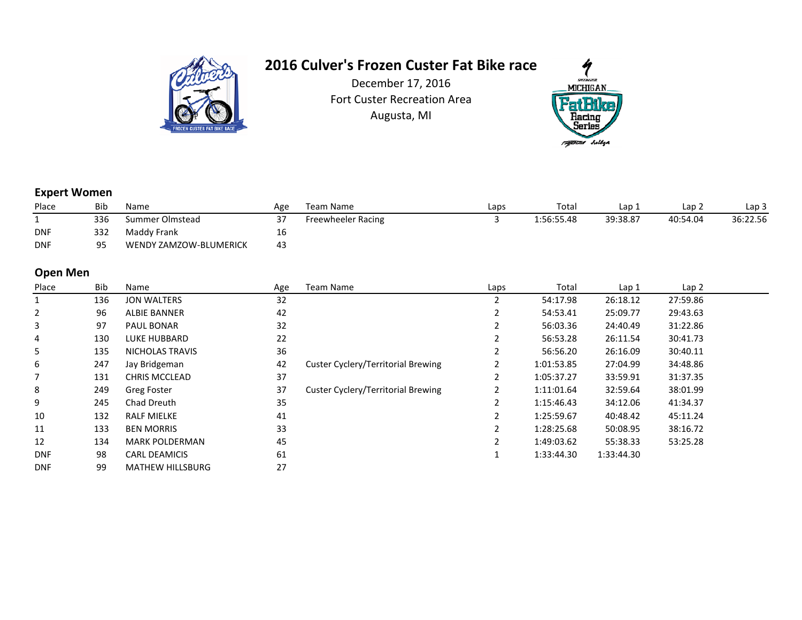

December 17, 2016 Fort Custer Recreation AreaAugusta, MI



#### **Expert Women**

| Place      | Bib | Name                   | Age | Team Name          | Laps | Total      | Lap 1    | Lap 2    | Lap 3    |
|------------|-----|------------------------|-----|--------------------|------|------------|----------|----------|----------|
|            | 336 | Summer Olmstead        |     | Freewheeler Racing |      | 1:56:55.48 | 39:38.87 | 40:54.04 | 36:22.56 |
| <b>DNF</b> | 332 | Maddy Frank            | τp  |                    |      |            |          |          |          |
| <b>DNF</b> | 95  | WENDY ZAMZOW-BLUMERICK | 43  |                    |      |            |          |          |          |

### **Open Men**

| Place      | <b>Bib</b> | Name                    | Age | <b>Team Name</b>                          | Laps | Total      | Lap 1      | Lap 2    |  |
|------------|------------|-------------------------|-----|-------------------------------------------|------|------------|------------|----------|--|
|            | 136        | <b>JON WALTERS</b>      | 32  |                                           |      | 54:17.98   | 26:18.12   | 27:59.86 |  |
| 2          | 96         | <b>ALBIE BANNER</b>     | 42  |                                           |      | 54:53.41   | 25:09.77   | 29:43.63 |  |
| 3          | 97         | <b>PAUL BONAR</b>       | 32  |                                           |      | 56:03.36   | 24:40.49   | 31:22.86 |  |
| 4          | 130        | LUKE HUBBARD            | 22  |                                           |      | 56:53.28   | 26:11.54   | 30:41.73 |  |
| 5          | 135        | NICHOLAS TRAVIS         | 36  |                                           |      | 56:56.20   | 26:16.09   | 30:40.11 |  |
| 6          | 247        | Jay Bridgeman           | 42  | Custer Cyclery/Territorial Brewing        |      | 1:01:53.85 | 27:04.99   | 34:48.86 |  |
|            | 131        | <b>CHRIS MCCLEAD</b>    | 37  |                                           |      | 1:05:37.27 | 33:59.91   | 31:37.35 |  |
| 8          | 249        | Greg Foster             | 37  | <b>Custer Cyclery/Territorial Brewing</b> |      | 1:11:01.64 | 32:59.64   | 38:01.99 |  |
| 9          | 245        | Chad Dreuth             | 35  |                                           |      | 1:15:46.43 | 34:12.06   | 41:34.37 |  |
| 10         | 132        | <b>RALF MIELKE</b>      | 41  |                                           |      | 1:25:59.67 | 40:48.42   | 45:11.24 |  |
| 11         | 133        | <b>BEN MORRIS</b>       | 33  |                                           |      | 1:28:25.68 | 50:08.95   | 38:16.72 |  |
| 12         | 134        | <b>MARK POLDERMAN</b>   | 45  |                                           |      | 1:49:03.62 | 55:38.33   | 53:25.28 |  |
| <b>DNF</b> | 98         | <b>CARL DEAMICIS</b>    | 61  |                                           |      | 1:33:44.30 | 1:33:44.30 |          |  |
| <b>DNF</b> | 99         | <b>MATHEW HILLSBURG</b> | 27  |                                           |      |            |            |          |  |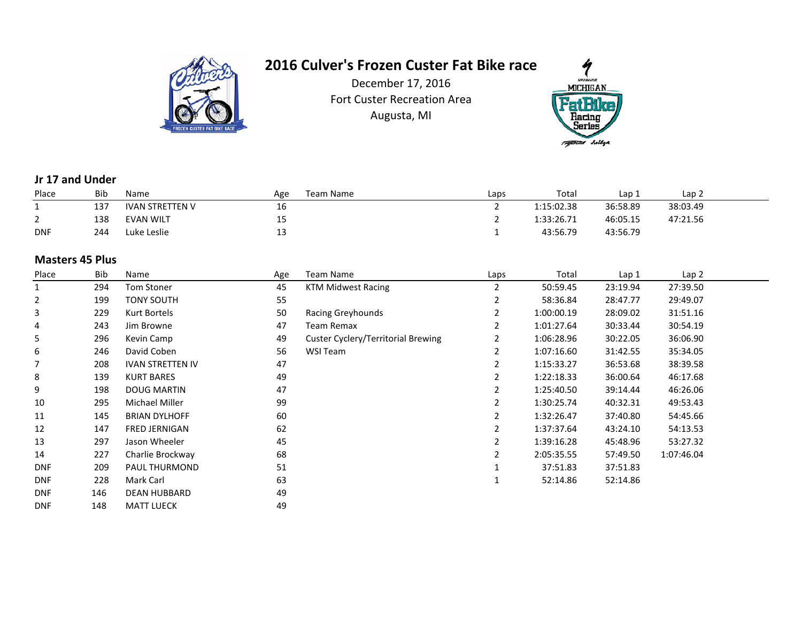

December 17, 2016 Fort Custer Recreation AreaAugusta, MI



### **Jr 17 and Under**

| Place      | Bib | Name                   | Age       | Team Name | Laps | Total      | Lap 1    | Lap 2    |
|------------|-----|------------------------|-----------|-----------|------|------------|----------|----------|
|            | 137 | <b>IVAN STRETTEN V</b> | . .<br>16 |           |      | 1:15:02.38 | 36:58.89 | 38:03.49 |
| _          | 138 | <b>EVAN WILT</b>       | --        |           |      | 1:33:26.71 | 46:05.15 | 47:21.56 |
| <b>DNF</b> | 244 | Luke Leslie            | ᅩ         |           |      | 43:56.79   | 43:56.79 |          |

### **Masters 45 Plus**

| Place      | Bib | Name                    | Age | Team Name                          | Laps | Total      | Lap 1    | Lap <sub>2</sub> |  |
|------------|-----|-------------------------|-----|------------------------------------|------|------------|----------|------------------|--|
| 1          | 294 | Tom Stoner              | 45  | <b>KTM Midwest Racing</b>          |      | 50:59.45   | 23:19.94 | 27:39.50         |  |
| 2          | 199 | TONY SOUTH              | 55  |                                    |      | 58:36.84   | 28:47.77 | 29:49.07         |  |
| 3          | 229 | Kurt Bortels            | 50  | Racing Greyhounds                  |      | 1:00:00.19 | 28:09.02 | 31:51.16         |  |
| 4          | 243 | Jim Browne              | 47  | <b>Team Remax</b>                  |      | 1:01:27.64 | 30:33.44 | 30:54.19         |  |
| 5          | 296 | Kevin Camp              | 49  | Custer Cyclery/Territorial Brewing |      | 1:06:28.96 | 30:22.05 | 36:06.90         |  |
| 6          | 246 | David Coben             | 56  | WSI Team                           |      | 1:07:16.60 | 31:42.55 | 35:34.05         |  |
|            | 208 | <b>IVAN STRETTEN IV</b> | 47  |                                    |      | 1:15:33.27 | 36:53.68 | 38:39.58         |  |
| 8          | 139 | <b>KURT BARES</b>       | 49  |                                    |      | 1:22:18.33 | 36:00.64 | 46:17.68         |  |
| 9          | 198 | <b>DOUG MARTIN</b>      | 47  |                                    |      | 1:25:40.50 | 39:14.44 | 46:26.06         |  |
| 10         | 295 | Michael Miller          | 99  |                                    |      | 1:30:25.74 | 40:32.31 | 49:53.43         |  |
| 11         | 145 | <b>BRIAN DYLHOFF</b>    | 60  |                                    |      | 1:32:26.47 | 37:40.80 | 54:45.66         |  |
| 12         | 147 | FRED JERNIGAN           | 62  |                                    |      | 1:37:37.64 | 43:24.10 | 54:13.53         |  |
| 13         | 297 | Jason Wheeler           | 45  |                                    |      | 1:39:16.28 | 45:48.96 | 53:27.32         |  |
| 14         | 227 | Charlie Brockway        | 68  |                                    |      | 2:05:35.55 | 57:49.50 | 1:07:46.04       |  |
| <b>DNF</b> | 209 | PAUL THURMOND           | 51  |                                    |      | 37:51.83   | 37:51.83 |                  |  |
| <b>DNF</b> | 228 | Mark Carl               | 63  |                                    |      | 52:14.86   | 52:14.86 |                  |  |
| <b>DNF</b> | 146 | DEAN HUBBARD            | 49  |                                    |      |            |          |                  |  |
| <b>DNF</b> | 148 | <b>MATT LUECK</b>       | 49  |                                    |      |            |          |                  |  |
|            |     |                         |     |                                    |      |            |          |                  |  |